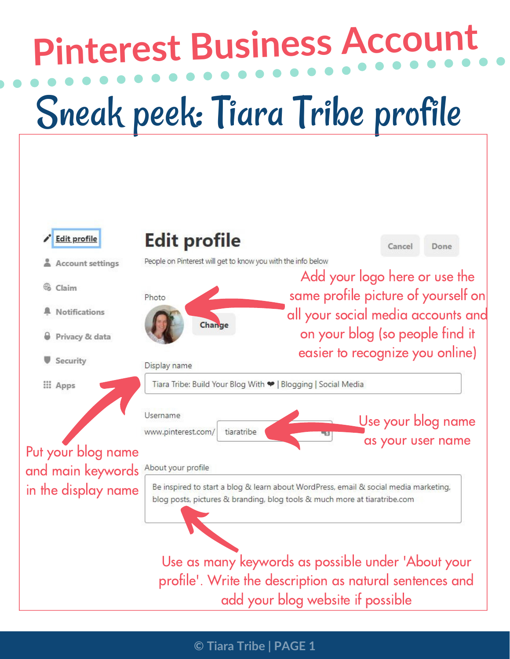## **Pinterest Business Account** Sneak peek: Tiara Tribe profile

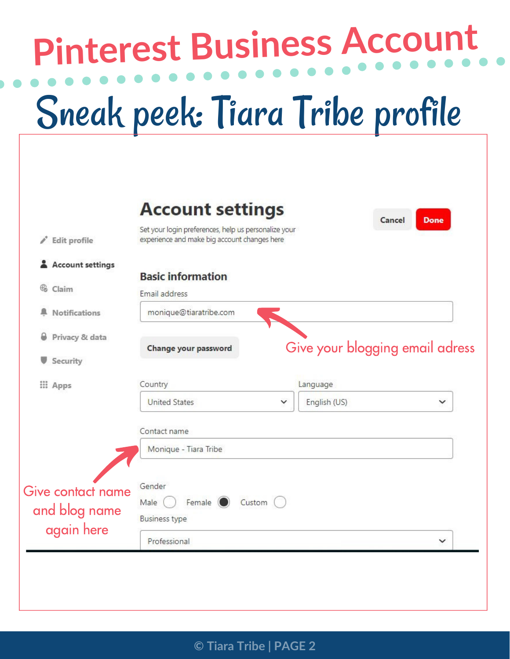## **Pinterest Business Account** Sneak peek: Tiara Tribe profile

| Edit profile                                     | <b>Account settings</b><br>Set your login preferences, help us personalize your<br>experience and make big account changes here |                   | <b>Done</b><br>Cancel           |
|--------------------------------------------------|---------------------------------------------------------------------------------------------------------------------------------|-------------------|---------------------------------|
| Account settings                                 | <b>Basic information</b>                                                                                                        |                   |                                 |
| €<br>Claim                                       | Email address                                                                                                                   |                   |                                 |
| <b>Notifications</b>                             | monique@tiaratribe.com                                                                                                          |                   |                                 |
| Privacy & data<br>Security                       | Change your password                                                                                                            |                   | Give your blogging email adress |
| <b>::: Apps</b>                                  | Country                                                                                                                         | Language          |                                 |
|                                                  | <b>United States</b>                                                                                                            | English (US)<br>v | $\checkmark$                    |
|                                                  | Contact name                                                                                                                    |                   |                                 |
|                                                  | Monique - Tiara Tribe                                                                                                           |                   |                                 |
| Give contact name<br>and blog name<br>again here | Gender<br>Female (<br>Custom<br>Male<br><b>Business type</b>                                                                    |                   |                                 |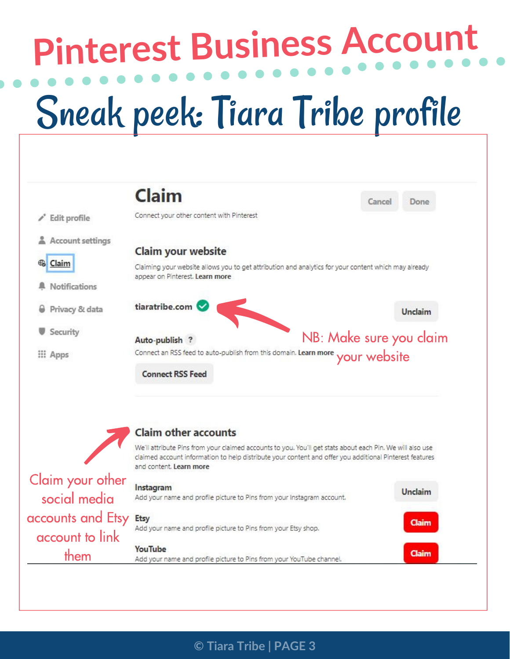# **Pinterest Business Account**

### Sneak peek: Tiara Tribe profile